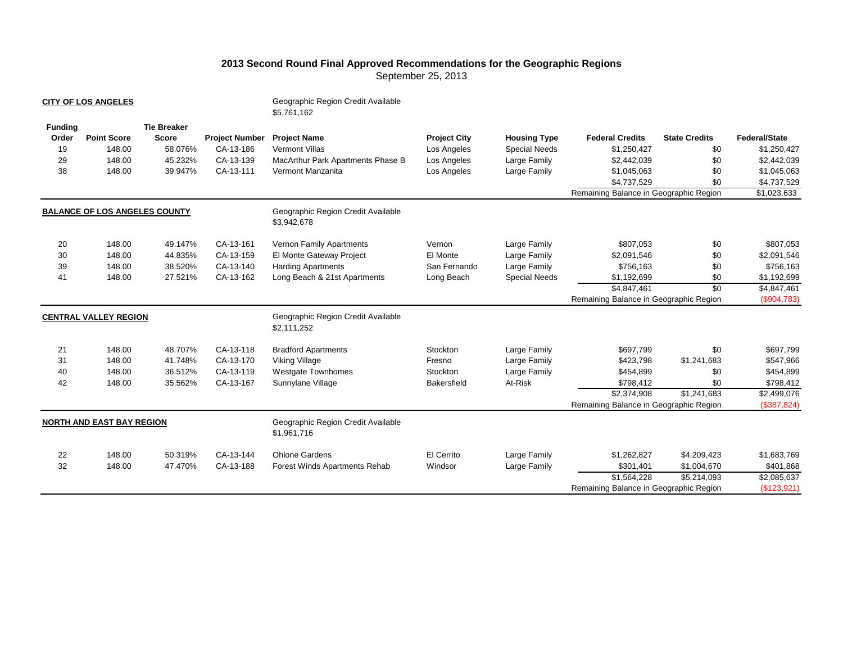## **2013 Second Round Final Approved Recommendations for the Geographic Regions**

September 25, 2013

|                         | <b>CITY OF LOS ANGELES</b>           |                                                                                       |                       | Geographic Region Credit Available<br>\$5,761,162 |                     |                      |                                        |                      |                      |
|-------------------------|--------------------------------------|---------------------------------------------------------------------------------------|-----------------------|---------------------------------------------------|---------------------|----------------------|----------------------------------------|----------------------|----------------------|
| <b>Funding</b><br>Order | <b>Point Score</b>                   | <b>Tie Breaker</b><br><b>Score</b>                                                    | <b>Project Number</b> | <b>Project Name</b>                               | <b>Project City</b> | <b>Housing Type</b>  | <b>Federal Credits</b>                 | <b>State Credits</b> | <b>Federal/State</b> |
| 19                      | 148.00                               | 58.076%                                                                               | CA-13-186             | <b>Vermont Villas</b>                             | Los Angeles         | <b>Special Needs</b> | \$1,250,427                            | \$0                  | \$1,250,427          |
| 29                      | 148.00                               | 45.232%                                                                               | CA-13-139             | MacArthur Park Apartments Phase B                 | Los Angeles         | Large Family         | \$2,442,039                            | \$0                  | \$2,442,039          |
| 38                      | 148.00                               | 39.947%                                                                               | CA-13-111             | Vermont Manzanita                                 | Los Angeles         | Large Family         | \$1,045,063                            | \$0                  | \$1,045,063          |
|                         |                                      |                                                                                       |                       |                                                   |                     |                      | \$4.737.529                            | \$0                  | \$4,737,529          |
|                         |                                      |                                                                                       |                       |                                                   |                     |                      | Remaining Balance in Geographic Region |                      | \$1,023,633          |
|                         | <b>BALANCE OF LOS ANGELES COUNTY</b> |                                                                                       |                       | Geographic Region Credit Available<br>\$3,942,678 |                     |                      |                                        |                      |                      |
| 20                      | 148.00                               | 49.147%                                                                               | CA-13-161             | Vernon Family Apartments                          | Vernon              | Large Family         | \$807,053                              | \$0                  | \$807,053            |
| 30                      | 148.00                               | 44.835%                                                                               | CA-13-159             | El Monte Gateway Project                          | El Monte            | Large Family         | \$2,091,546                            | \$0                  | \$2,091,546          |
| 39                      | 148.00                               | 38.520%                                                                               | CA-13-140             | <b>Harding Apartments</b>                         | San Fernando        | Large Family         | \$756,163                              | \$0                  | \$756,163            |
| 41                      | 148.00                               | 27.521%                                                                               | CA-13-162             | Long Beach & 21st Apartments                      | Long Beach          | <b>Special Needs</b> | \$1,192,699                            | \$0                  | \$1,192,699          |
|                         |                                      |                                                                                       |                       |                                                   |                     |                      | \$4,847,461                            | \$0                  | \$4,847,461          |
|                         |                                      |                                                                                       |                       |                                                   |                     |                      | Remaining Balance in Geographic Region |                      | (\$904,783)          |
|                         | <b>CENTRAL VALLEY REGION</b>         |                                                                                       |                       | Geographic Region Credit Available<br>\$2,111,252 |                     |                      |                                        |                      |                      |
| 21                      | 148.00                               | 48.707%                                                                               | CA-13-118             | <b>Bradford Apartments</b>                        | Stockton            | Large Family         | \$697,799                              | \$0                  | \$697,799            |
| 31                      | 148.00                               | 41.748%                                                                               | CA-13-170             | Viking Village                                    | Fresno              | Large Family         | \$423,798                              | \$1,241,683          | \$547,966            |
| 40                      | 148.00                               | 36.512%                                                                               | CA-13-119             | <b>Westgate Townhomes</b>                         | Stockton            | Large Family         | \$454,899                              | \$0                  | \$454,899            |
| 42                      | 148.00                               | 35.562%                                                                               | CA-13-167             | Sunnylane Village                                 | Bakersfield         | At-Risk              | \$798,412                              | \$0                  | \$798,412            |
|                         |                                      |                                                                                       |                       |                                                   |                     |                      | \$2,374,908                            | \$1,241,683          | \$2,499,076          |
|                         |                                      |                                                                                       |                       |                                                   |                     |                      | Remaining Balance in Geographic Region |                      | (\$387,824)          |
|                         |                                      | <b>NORTH AND EAST BAY REGION</b><br>Geographic Region Credit Available<br>\$1,961,716 |                       |                                                   |                     |                      |                                        |                      |                      |
| 22                      | 148.00                               | 50.319%                                                                               | CA-13-144             | <b>Ohlone Gardens</b>                             | El Cerrito          | Large Family         | \$1,262,827                            | \$4,209,423          | \$1,683,769          |
| 32                      | 148.00                               | 47.470%                                                                               | CA-13-188             | Forest Winds Apartments Rehab                     | Windsor             | Large Family         | \$301,401                              | \$1,004,670          | \$401,868            |
|                         |                                      |                                                                                       |                       |                                                   |                     |                      | \$1,564,228                            | \$5,214,093          | \$2,085,637          |
|                         |                                      |                                                                                       |                       |                                                   |                     |                      | Remaining Balance in Geographic Region |                      | (\$123,921)          |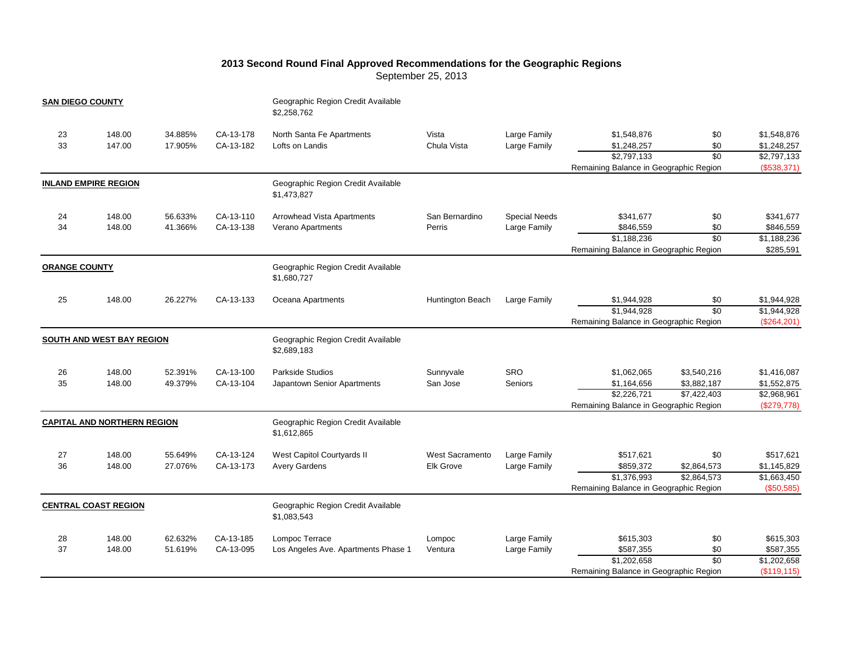## **2013 Second Round Final Approved Recommendations for the Geographic Regions**

September 25, 2013

| <b>SAN DIEGO COUNTY</b> |                                    |         |           | Geographic Region Credit Available<br>\$2,258,762 |                         |                      |                                        |                 |              |
|-------------------------|------------------------------------|---------|-----------|---------------------------------------------------|-------------------------|----------------------|----------------------------------------|-----------------|--------------|
| 23                      | 148.00                             | 34.885% | CA-13-178 | North Santa Fe Apartments                         | Vista                   | Large Family         | \$1,548,876                            | \$0             | \$1,548,876  |
| 33                      | 147.00                             | 17.905% | CA-13-182 | Lofts on Landis                                   | Chula Vista             | Large Family         | \$1,248,257                            | \$0             | \$1,248,257  |
|                         |                                    |         |           |                                                   |                         |                      | \$2,797,133                            | $\overline{30}$ | \$2,797,133  |
|                         |                                    |         |           |                                                   |                         |                      | Remaining Balance in Geographic Region |                 | (\$538,371)  |
|                         | <b>INLAND EMPIRE REGION</b>        |         |           | Geographic Region Credit Available<br>\$1,473,827 |                         |                      |                                        |                 |              |
| 24                      | 148.00                             | 56.633% | CA-13-110 | Arrowhead Vista Apartments                        | San Bernardino          | <b>Special Needs</b> | \$341,677                              | \$0             | \$341,677    |
| 34                      | 148.00                             | 41.366% | CA-13-138 | Verano Apartments                                 | Perris                  | Large Family         | \$846,559                              | \$0             | \$846,559    |
|                         |                                    |         |           |                                                   |                         |                      | \$1,188,236                            | \$0             | \$1,188,236  |
|                         |                                    |         |           |                                                   |                         |                      | Remaining Balance in Geographic Region |                 | \$285,591    |
| <b>ORANGE COUNTY</b>    |                                    |         |           | Geographic Region Credit Available<br>\$1,680,727 |                         |                      |                                        |                 |              |
| 25                      | 148.00                             | 26.227% | CA-13-133 | Oceana Apartments                                 | <b>Huntington Beach</b> | Large Family         | \$1,944,928                            | \$0             | \$1,944,928  |
|                         |                                    |         |           |                                                   |                         |                      | \$1,944,928                            | \$0             | \$1,944,928  |
|                         |                                    |         |           |                                                   |                         |                      | Remaining Balance in Geographic Region |                 | (\$264,201)  |
|                         | SOUTH AND WEST BAY REGION          |         |           | Geographic Region Credit Available<br>\$2,689,183 |                         |                      |                                        |                 |              |
| 26                      | 148.00                             | 52.391% | CA-13-100 | <b>Parkside Studios</b>                           | Sunnyvale               | <b>SRO</b>           | \$1,062,065                            | \$3,540,216     | \$1,416,087  |
| 35                      | 148.00                             | 49.379% | CA-13-104 | Japantown Senior Apartments                       | San Jose                | Seniors              | \$1,164,656                            | \$3,882,187     | \$1,552,875  |
|                         |                                    |         |           |                                                   |                         |                      | \$2,226,721                            | \$7,422,403     | \$2,968,961  |
|                         |                                    |         |           |                                                   |                         |                      | Remaining Balance in Geographic Region |                 | (\$279,778)  |
|                         | <b>CAPITAL AND NORTHERN REGION</b> |         |           | Geographic Region Credit Available<br>\$1,612,865 |                         |                      |                                        |                 |              |
| 27                      | 148.00                             | 55.649% | CA-13-124 | West Capitol Courtyards II                        | West Sacramento         | Large Family         | \$517,621                              | \$0             | \$517,621    |
| 36                      | 148.00                             | 27.076% | CA-13-173 | <b>Avery Gardens</b>                              | <b>Elk Grove</b>        | Large Family         | \$859,372                              | \$2,864,573     | \$1,145,829  |
|                         |                                    |         |           |                                                   |                         |                      | \$1,376,993                            | \$2,864,573     | \$1,663,450  |
|                         |                                    |         |           |                                                   |                         |                      | Remaining Balance in Geographic Region |                 | (\$50,585)   |
|                         | <b>CENTRAL COAST REGION</b>        |         |           | Geographic Region Credit Available<br>\$1,083,543 |                         |                      |                                        |                 |              |
| 28                      | 148.00                             | 62.632% | CA-13-185 | Lompoc Terrace                                    | Lompoc                  | Large Family         | \$615,303                              | \$0             | \$615,303    |
| 37                      | 148.00                             | 51.619% | CA-13-095 | Los Angeles Ave. Apartments Phase 1               | Ventura                 | Large Family         | \$587,355                              | \$0             | \$587,355    |
|                         |                                    |         |           |                                                   |                         |                      | \$1,202,658                            | \$0             | \$1,202,658  |
|                         |                                    |         |           |                                                   |                         |                      | Remaining Balance in Geographic Region |                 | (\$119, 115) |
|                         |                                    |         |           |                                                   |                         |                      |                                        |                 |              |